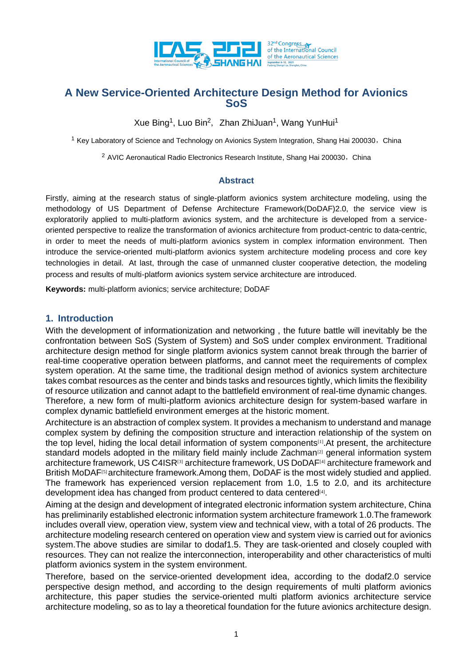

# **A New Service-Oriented Architecture Design Method for Avionics SoS**

Xue Bing<sup>1</sup>, Luo Bin<sup>2</sup>, Zhan ZhiJuan<sup>1</sup>, Wang YunHui<sup>1</sup>

<sup>1</sup> Key Laboratory of Science and Technology on Avionics System Integration, Shang Hai 200030, China

 $2$  AVIC Aeronautical Radio Electronics Research Institute, Shang Hai 200030, China

#### **Abstract**

Firstly, aiming at the research status of single-platform avionics system architecture modeling, using the methodology of US Department of Defense Architecture Framework(DoDAF)2.0, the service view is exploratorily applied to multi-platform avionics system, and the architecture is developed from a serviceoriented perspective to realize the transformation of avionics architecture from product-centric to data-centric, in order to meet the needs of multi-platform avionics system in complex information environment. Then introduce the service-oriented multi-platform avionics system architecture modeling process and core key technologies in detail. At last, through the case of unmanned cluster cooperative detection, the modeling process and results of multi-platform avionics system service architecture are introduced.

**Keywords:** multi-platform avionics; service architecture; DoDAF

### **1. Introduction**

With the development of informationization and networking , the future battle will inevitably be the confrontation between SoS (System of System) and SoS under complex environment. Traditional architecture design method for single platform avionics system cannot break through the barrier of real-time cooperative operation between platforms, and cannot meet the requirements of complex system operation. At the same time, the traditional design method of avionics system architecture takes combat resources as the center and binds tasks and resources tightly, which limits the flexibility of resource utilization and cannot adapt to the battlefield environment of real-time dynamic changes. Therefore, a new form of multi-platform avionics architecture design for system-based warfare in complex dynamic battlefield environment emerges at the historic moment.

Architecture is an abstraction of complex system. It provides a mechanism to understand and manage complex system by defining the composition structure and interaction relationship of the system on the top level, hiding the local detail information of system components[1].At present, the architecture standard models adopted in the military field mainly include Zachman<sup>[2]</sup> general information system architecture framework, US C4ISR<sup>[3]</sup> architecture framework, US DoDAF<sup>[4]</sup> architecture framework and British MoDAF<sup>[5]</sup> architecture framework.Among them, DoDAF is the most widely studied and applied. The framework has experienced version replacement from 1.0, 1.5 to 2.0, and its architecture development idea has changed from product centered to data centered<sup>[4]</sup>.

Aiming at the design and development of integrated electronic information system architecture, China has preliminarily established electronic information system architecture framework 1.0.The framework includes overall view, operation view, system view and technical view, with a total of 26 products. The architecture modeling research centered on operation view and system view is carried out for avionics system.The above studies are similar to dodaf1.5. They are task-oriented and closely coupled with resources. They can not realize the interconnection, interoperability and other characteristics of multi platform avionics system in the system environment.

Therefore, based on the service-oriented development idea, according to the dodaf2.0 service perspective design method, and according to the design requirements of multi platform avionics architecture, this paper studies the service-oriented multi platform avionics architecture service architecture modeling, so as to lay a theoretical foundation for the future avionics architecture design.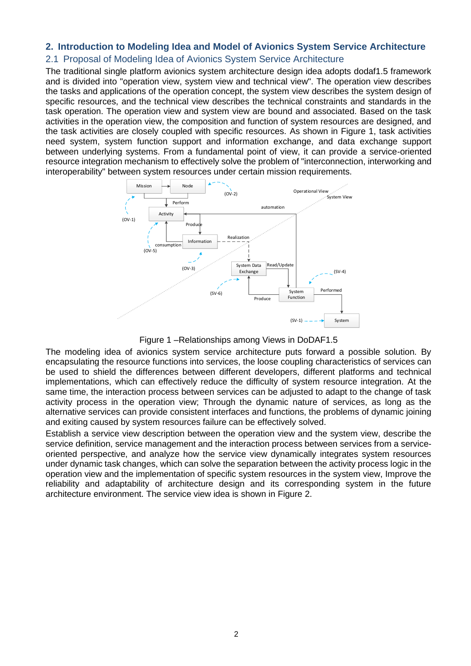## **2. Introduction to Modeling Idea and Model of Avionics System Service Architecture**

### 2.1 Proposal of Modeling Idea of Avionics System Service Architecture

The traditional single platform avionics system architecture design idea adopts dodaf1.5 framework and is divided into "operation view, system view and technical view". The operation view describes the tasks and applications of the operation concept, the system view describes the system design of specific resources, and the technical view describes the technical constraints and standards in the task operation. The operation view and system view are bound and associated. Based on the task activities in the operation view, the composition and function of system resources are designed, and the task activities are closely coupled with specific resources. As shown in Figure 1, task activities need system, system function support and information exchange, and data exchange support between underlying systems. From a fundamental point of view, it can provide a service-oriented resource integration mechanism to effectively solve the problem of "interconnection, interworking and interoperability" between system resources under certain mission requirements.



Figure 1 –Relationships among Views in DoDAF1.5

The modeling idea of avionics system service architecture puts forward a possible solution. By encapsulating the resource functions into services, the loose coupling characteristics of services can be used to shield the differences between different developers, different platforms and technical implementations, which can effectively reduce the difficulty of system resource integration. At the same time, the interaction process between services can be adjusted to adapt to the change of task activity process in the operation view; Through the dynamic nature of services, as long as the alternative services can provide consistent interfaces and functions, the problems of dynamic joining and exiting caused by system resources failure can be effectively solved.

Establish a service view description between the operation view and the system view, describe the service definition, service management and the interaction process between services from a serviceoriented perspective, and analyze how the service view dynamically integrates system resources under dynamic task changes, which can solve the separation between the activity process logic in the operation view and the implementation of specific system resources in the system view, Improve the reliability and adaptability of architecture design and its corresponding system in the future architecture environment. The service view idea is shown in Figure 2.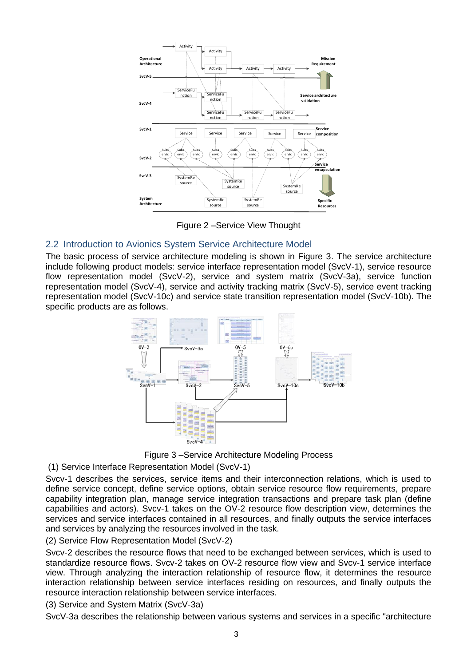

Figure 2 –Service View Thought

### 2.2 Introduction to Avionics System Service Architecture Model

The basic process of service architecture modeling is shown in Figure 3. The service architecture include following product models: service interface representation model (SvcV-1), service resource flow representation model (SvcV-2), service and system matrix (SvcV-3a), service function representation model (SvcV-4), service and activity tracking matrix (SvcV-5), service event tracking representation model (SvcV-10c) and service state transition representation model (SvcV-10b). The specific products are as follows.



Figure 3 –Service Architecture Modeling Process

(1) Service Interface Representation Model (SvcV-1)

Svcv-1 describes the services, service items and their interconnection relations, which is used to define service concept, define service options, obtain service resource flow requirements, prepare capability integration plan, manage service integration transactions and prepare task plan (define capabilities and actors). Svcv-1 takes on the OV-2 resource flow description view, determines the services and service interfaces contained in all resources, and finally outputs the service interfaces and services by analyzing the resources involved in the task.

(2) Service Flow Representation Model (SvcV-2)

Svcv-2 describes the resource flows that need to be exchanged between services, which is used to standardize resource flows. Svcv-2 takes on OV-2 resource flow view and Svcv-1 service interface view. Through analyzing the interaction relationship of resource flow, it determines the resource interaction relationship between service interfaces residing on resources, and finally outputs the resource interaction relationship between service interfaces.

(3) Service and System Matrix (SvcV-3a)

SvcV-3a describes the relationship between various systems and services in a specific "architecture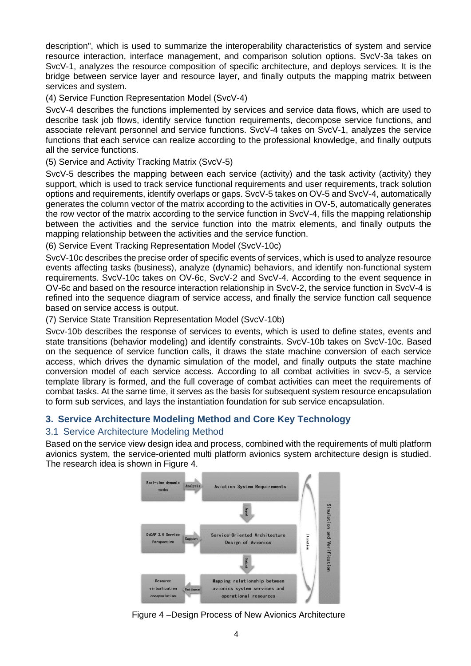description", which is used to summarize the interoperability characteristics of system and service resource interaction, interface management, and comparison solution options. SvcV-3a takes on SvcV-1, analyzes the resource composition of specific architecture, and deploys services. It is the bridge between service layer and resource layer, and finally outputs the mapping matrix between services and system.

(4) Service Function Representation Model (SvcV-4)

SvcV-4 describes the functions implemented by services and service data flows, which are used to describe task job flows, identify service function requirements, decompose service functions, and associate relevant personnel and service functions. SvcV-4 takes on SvcV-1, analyzes the service functions that each service can realize according to the professional knowledge, and finally outputs all the service functions.

(5) Service and Activity Tracking Matrix (SvcV-5)

SvcV-5 describes the mapping between each service (activity) and the task activity (activity) they support, which is used to track service functional requirements and user requirements, track solution options and requirements, identify overlaps or gaps. SvcV-5 takes on OV-5 and SvcV-4, automatically generates the column vector of the matrix according to the activities in OV-5, automatically generates the row vector of the matrix according to the service function in SvcV-4, fills the mapping relationship between the activities and the service function into the matrix elements, and finally outputs the mapping relationship between the activities and the service function.

(6) Service Event Tracking Representation Model (SvcV-10c)

SvcV-10c describes the precise order of specific events of services, which is used to analyze resource events affecting tasks (business), analyze (dynamic) behaviors, and identify non-functional system requirements. SvcV-10c takes on OV-6c, SvcV-2 and SvcV-4. According to the event sequence in OV-6c and based on the resource interaction relationship in SvcV-2, the service function in SvcV-4 is refined into the sequence diagram of service access, and finally the service function call sequence based on service access is output.

(7) Service State Transition Representation Model (SvcV-10b)

Svcv-10b describes the response of services to events, which is used to define states, events and state transitions (behavior modeling) and identify constraints. SvcV-10b takes on SvcV-10c. Based on the sequence of service function calls, it draws the state machine conversion of each service access, which drives the dynamic simulation of the model, and finally outputs the state machine conversion model of each service access. According to all combat activities in svcv-5, a service template library is formed, and the full coverage of combat activities can meet the requirements of combat tasks. At the same time, it serves as the basis for subsequent system resource encapsulation to form sub services, and lays the instantiation foundation for sub service encapsulation.

### **3. Service Architecture Modeling Method and Core Key Technology**

### 3.1 Service Architecture Modeling Method

Based on the service view design idea and process, combined with the requirements of multi platform avionics system, the service-oriented multi platform avionics system architecture design is studied. The research idea is shown in Figure 4.



Figure 4 –Design Process of New Avionics Architecture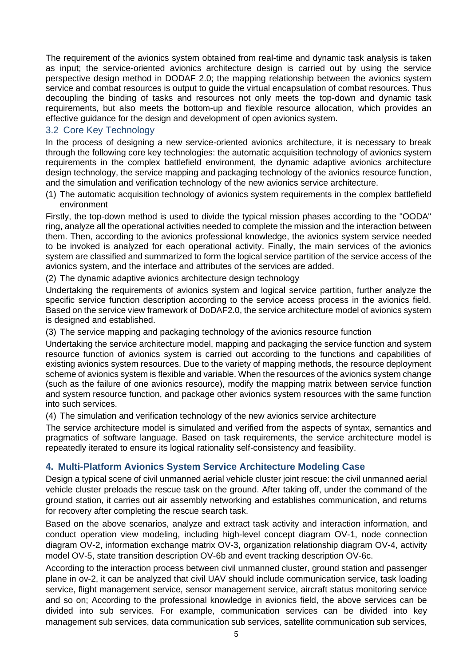The requirement of the avionics system obtained from real-time and dynamic task analysis is taken as input; the service-oriented avionics architecture design is carried out by using the service perspective design method in DODAF 2.0; the mapping relationship between the avionics system service and combat resources is output to guide the virtual encapsulation of combat resources. Thus decoupling the binding of tasks and resources not only meets the top-down and dynamic task requirements, but also meets the bottom-up and flexible resource allocation, which provides an effective guidance for the design and development of open avionics system.

## 3.2 Core Key Technology

In the process of designing a new service-oriented avionics architecture, it is necessary to break through the following core key technologies: the automatic acquisition technology of avionics system requirements in the complex battlefield environment, the dynamic adaptive avionics architecture design technology, the service mapping and packaging technology of the avionics resource function, and the simulation and verification technology of the new avionics service architecture.

(1) The automatic acquisition technology of avionics system requirements in the complex battlefield environment

Firstly, the top-down method is used to divide the typical mission phases according to the "OODA" ring, analyze all the operational activities needed to complete the mission and the interaction between them. Then, according to the avionics professional knowledge, the avionics system service needed to be invoked is analyzed for each operational activity. Finally, the main services of the avionics system are classified and summarized to form the logical service partition of the service access of the avionics system, and the interface and attributes of the services are added.

(2) The dynamic adaptive avionics architecture design technology

Undertaking the requirements of avionics system and logical service partition, further analyze the specific service function description according to the service access process in the avionics field. Based on the service view framework of DoDAF2.0, the service architecture model of avionics system is designed and established.

(3) The service mapping and packaging technology of the avionics resource function

Undertaking the service architecture model, mapping and packaging the service function and system resource function of avionics system is carried out according to the functions and capabilities of existing avionics system resources. Due to the variety of mapping methods, the resource deployment scheme of avionics system is flexible and variable. When the resources of the avionics system change (such as the failure of one avionics resource), modify the mapping matrix between service function and system resource function, and package other avionics system resources with the same function into such services.

(4) The simulation and verification technology of the new avionics service architecture

The service architecture model is simulated and verified from the aspects of syntax, semantics and pragmatics of software language. Based on task requirements, the service architecture model is repeatedly iterated to ensure its logical rationality self-consistency and feasibility.

### **4. Multi-Platform Avionics System Service Architecture Modeling Case**

Design a typical scene of civil unmanned aerial vehicle cluster joint rescue: the civil unmanned aerial vehicle cluster preloads the rescue task on the ground. After taking off, under the command of the ground station, it carries out air assembly networking and establishes communication, and returns for recovery after completing the rescue search task.

Based on the above scenarios, analyze and extract task activity and interaction information, and conduct operation view modeling, including high-level concept diagram OV-1, node connection diagram OV-2, information exchange matrix OV-3, organization relationship diagram OV-4, activity model OV-5, state transition description OV-6b and event tracking description OV-6c.

According to the interaction process between civil unmanned cluster, ground station and passenger plane in ov-2, it can be analyzed that civil UAV should include communication service, task loading service, flight management service, sensor management service, aircraft status monitoring service and so on; According to the professional knowledge in avionics field, the above services can be divided into sub services. For example, communication services can be divided into key management sub services, data communication sub services, satellite communication sub services,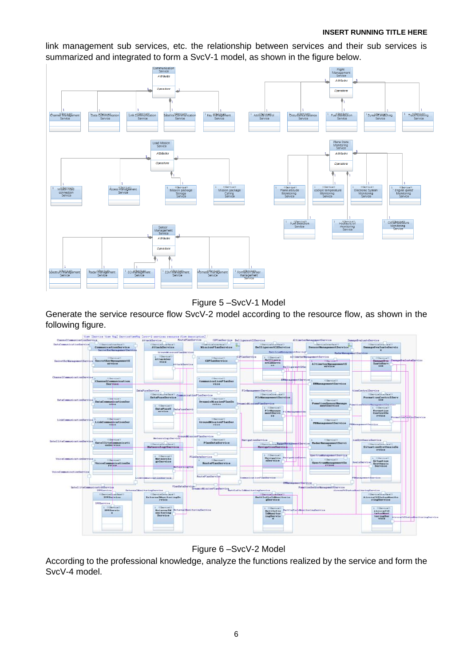#### **INSERT RUNNING TITLE HERE**

link management sub services, etc. the relationship between services and their sub services is summarized and integrated to form a SvcV-1 model, as shown in the figure below.



Figure 5 –SvcV-1 Model

Generate the service resource flow SvcV-2 model according to the resource flow, as shown in the following figure.





According to the professional knowledge, analyze the functions realized by the service and form the SvcV-4 model.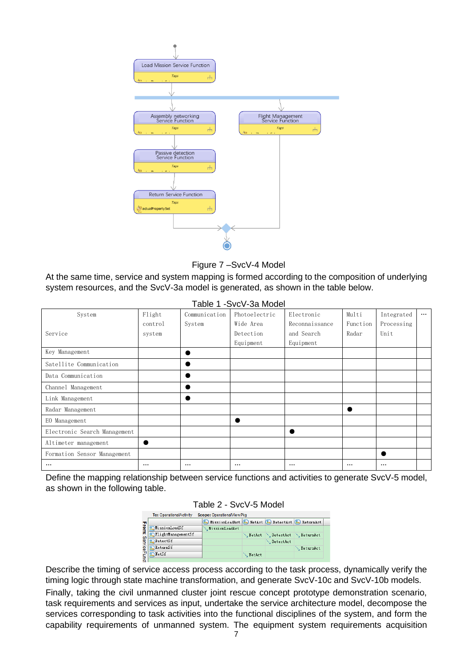

Figure 7 –SvcV-4 Model

At the same time, service and system mapping is formed according to the composition of underlying system resources, and the SvcV-3a model is generated, as shown in the table below.

| Table 1 -SvcV-3a Model       |          |               |               |                |          |            |          |  |  |  |
|------------------------------|----------|---------------|---------------|----------------|----------|------------|----------|--|--|--|
| System                       | Flight   | Communication | Photoelectric | Electronic     | Multi    | Integrated | $\cdots$ |  |  |  |
|                              | control  | System        | Wide Area     | Reconnaissance | Function | Processing |          |  |  |  |
| Service                      | system   |               | Detection     | and Search     | Radar    | Unit       |          |  |  |  |
|                              |          |               | Equipment     | Equipment      |          |            |          |  |  |  |
| Key Management               |          |               |               |                |          |            |          |  |  |  |
| Satellite Communication      |          |               |               |                |          |            |          |  |  |  |
| Data Communication           |          |               |               |                |          |            |          |  |  |  |
| Channel Management           |          |               |               |                |          |            |          |  |  |  |
| Link Management              |          |               |               |                |          |            |          |  |  |  |
| Radar Management             |          |               |               |                |          |            |          |  |  |  |
| EO Management                |          |               |               |                |          |            |          |  |  |  |
| Electronic Search Management |          |               |               |                |          |            |          |  |  |  |
| Altimeter management         |          |               |               |                |          |            |          |  |  |  |
| Formation Sensor Management  |          |               |               |                |          |            |          |  |  |  |
| $\cdots$                     | $\cdots$ | $\cdots$      | $\cdots$      | $\cdots$       | $\cdots$ | $\cdots$   |          |  |  |  |

Define the mapping relationship between service functions and activities to generate SvcV-5 model, as shown in the following table.

| Table 2 - SvcV-5 Model |  |
|------------------------|--|
|------------------------|--|

|              | To: OperationalActivity<br>Scope: OperationalViewPkg |                                                   |               |                    |                  |  |  |  |  |  |  |
|--------------|------------------------------------------------------|---------------------------------------------------|---------------|--------------------|------------------|--|--|--|--|--|--|
|              |                                                      | 8 MissionLoadAct 8 NetAct 8 DetectAct 8 ReturnAct |               |                    |                  |  |  |  |  |  |  |
| From:        | <b>2.</b> MissionLoadSf                              | ∿, MissionLoadAct                                 |               |                    |                  |  |  |  |  |  |  |
| <b>Servi</b> | 8 FlightManagementSf                                 |                                                   | <b>NetAct</b> | DetectAct          | <b>NeturnAct</b> |  |  |  |  |  |  |
|              | <b>R</b> DetectSf                                    |                                                   |               | <b>N</b> DetectAct |                  |  |  |  |  |  |  |
| 횎            | <b>ReturnSf</b>                                      |                                                   |               |                    | <b>NeturnAct</b> |  |  |  |  |  |  |
|              | $\mathbf{F}$ $\mathbf{R}$ Netsf                      |                                                   | <b>MetAct</b> |                    |                  |  |  |  |  |  |  |

Describe the timing of service access process according to the task process, dynamically verify the timing logic through state machine transformation, and generate SvcV-10c and SvcV-10b models.

Finally, taking the civil unmanned cluster joint rescue concept prototype demonstration scenario, task requirements and services as input, undertake the service architecture model, decompose the services corresponding to task activities into the functional disciplines of the system, and form the capability requirements of unmanned system. The equipment system requirements acquisition